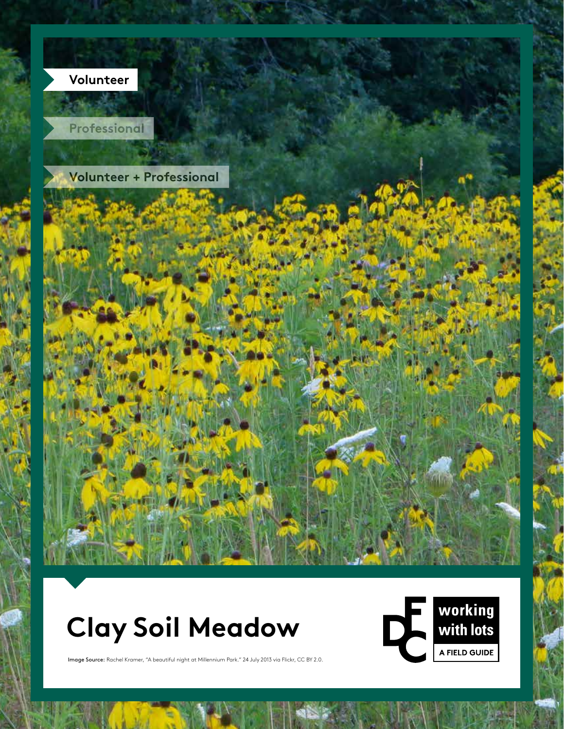

# **Clay Soil Meadow**



**DRAFT COPY**

Image Source: Rachel Kramer, "A beautiful night at Millennium Park." 24 July 2013 via Flickr, CC BY 2.0.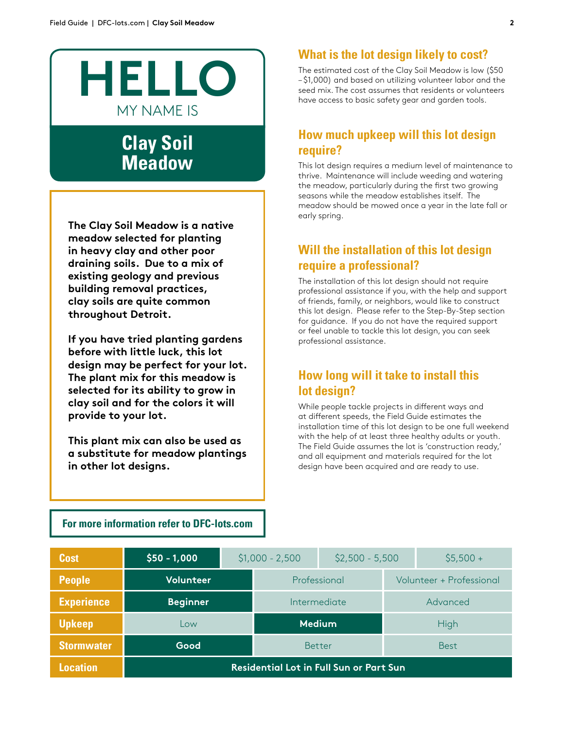

# **Clay Soil Meadow**

**The Clay Soil Meadow is a native meadow selected for planting in heavy clay and other poor draining soils. Due to a mix of existing geology and previous building removal practices, clay soils are quite common throughout Detroit.** 

**If you have tried planting gardens before with little luck, this lot design may be perfect for your lot. The plant mix for this meadow is selected for its ability to grow in clay soil and for the colors it will provide to your lot.** 

**This plant mix can also be used as a substitute for meadow plantings in other lot designs.** 

### **What is the lot design likely to cost?**

The estimated cost of the Clay Soil Meadow is low (\$50 – \$1,000) and based on utilizing volunteer labor and the seed mix. The cost assumes that residents or volunteers have access to basic safety gear and garden tools.

### **How much upkeep will this lot design require?**

This lot design requires a medium level of maintenance to thrive. Maintenance will include weeding and watering the meadow, particularly during the frst two growing seasons while the meadow establishes itself. The meadow should be mowed once a year in the late fall or early spring.

### **Will the installation of this lot design require a professional?**

The installation of this lot design should not require professional assistance if you, with the help and support of friends, family, or neighbors, would like to construct this lot design. Please refer to the Step-By-Step section for guidance. If you do not have the required support or feel unable to tackle this lot design, you can seek professional assistance.

## **How long will it take to install this lot design?**

While people tackle projects in diferent ways and at diferent speeds, the Field Guide estimates the installation time of this lot design to be one full weekend with the help of at least three healthy adults or youth. The Field Guide assumes the lot is 'construction ready,' and all equipment and materials required for the lot design have been acquired and are ready to use.

#### **For more information refer to DFC-lots.com**

| <b>Cost</b>       | $$50 - 1,000$                                  | $$1,000 - 2,500$ |              | $$2,500 - 5,500$ |                          | $$5,500 +$ |  |
|-------------------|------------------------------------------------|------------------|--------------|------------------|--------------------------|------------|--|
| <b>People</b>     | Volunteer                                      |                  | Professional |                  | Volunteer + Professional |            |  |
| <b>Experience</b> | <b>Beginner</b>                                |                  | Intermediate |                  |                          | Advanced   |  |
| <b>Upkeep</b>     | Low                                            | <b>Medium</b>    |              |                  | High                     |            |  |
| <b>Stormwater</b> | Good                                           | <b>Better</b>    |              | <b>Best</b>      |                          |            |  |
| <b>Location</b>   | <b>Residential Lot in Full Sun or Part Sun</b> |                  |              |                  |                          |            |  |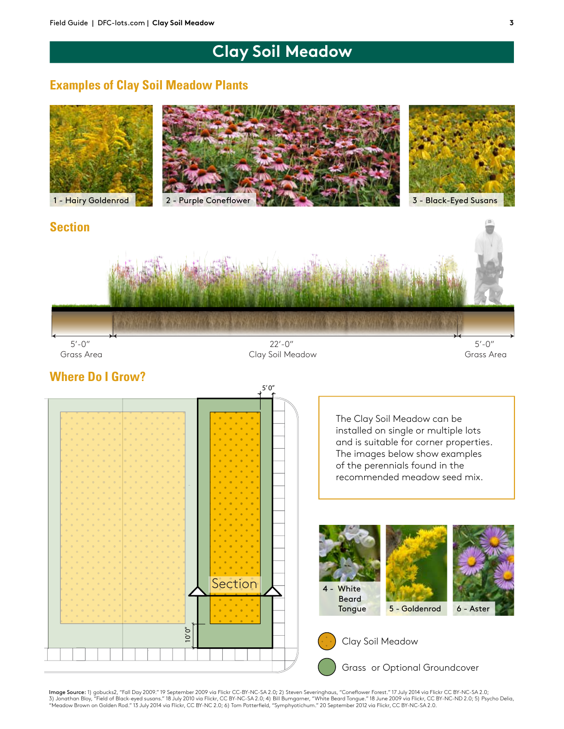# **Clay Soil Meadow**

### **Examples of Clay Soil Meadow Plants**



### **Section**



5'-0" Grass Area

22'-0" Clay Soil Meadow

 $5' - 0''$ Grass Area



**Image Source:** 1) gobucks2, "Fall Day 2009." 19 September 2009 via Flickr CC-BY-NC-SA 2.0; 2) Steven Severinghaus, "Coneflower Forest." 17 July 2014 via Flickr CC BY-NC-SA 2.0;<br>3) Jonathan Bloy, "Field of Black-eyed susan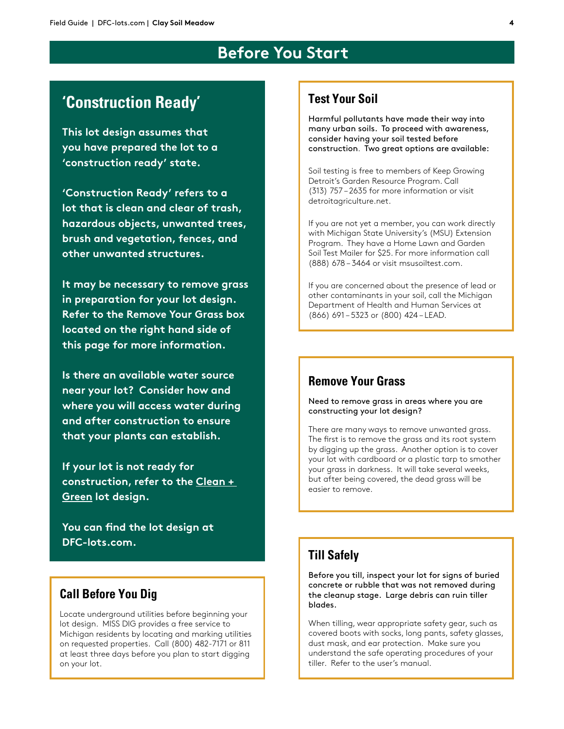# **Before You Start**

# **'Construction Ready'**

**This lot design assumes that you have prepared the lot to a 'construction ready' state.**

**'Construction Ready' refers to a lot that is clean and clear of trash, hazardous objects, unwanted trees, brush and vegetation, fences, and other unwanted structures.** 

**It may be necessary to remove grass in preparation for your lot design. Refer to the Remove Your Grass box located on the right hand side of this page for more information.**

**Is there an available water source near your lot? Consider how and where you will access water during and after construction to ensure that your plants can establish.** 

**If your lot is not ready for construction, refer to the Clean + Green lot design.**

**You can fnd the lot design at DFC-lots.com.**

### **Call Before You Dig**

Locate underground utilities before beginning your lot design. MISS DIG provides a free service to Michigan residents by locating and marking utilities on requested properties. Call (800) 482-7171 or 811 at least three days before you plan to start digging on your lot.

### **Test Your Soil**

Harmful pollutants have made their way into many urban soils. To proceed with awareness, consider having your soil tested before construction. Two great options are available:

Soil testing is free to members of Keep Growing Detroit's Garden Resource Program. Call (313) 757 – 2635 for more information or visit detroitagriculture.net.

If you are not yet a member, you can work directly with Michigan State University's (MSU) Extension Program. They have a Home Lawn and Garden Soil Test Mailer for \$25. For more information call (888) 678 – 3464 or visit msusoiltest.com.

If you are concerned about the presence of lead or other contaminants in your soil, call the Michigan Department of Health and Human Services at (866) 691 – 5323 or (800) 424 – LEAD.

### **Remove Your Grass**

Need to remove grass in areas where you are constructing your lot design?

There are many ways to remove unwanted grass. The first is to remove the grass and its root system by digging up the grass. Another option is to cover your lot with cardboard or a plastic tarp to smother your grass in darkness. It will take several weeks, but after being covered, the dead grass will be easier to remove.

### **Till Safely**

Before you till, inspect your lot for signs of buried concrete or rubble that was not removed during the cleanup stage. Large debris can ruin tiller blades.

When tilling, wear appropriate safety gear, such as covered boots with socks, long pants, safety glasses, dust mask, and ear protection. Make sure you understand the safe operating procedures of your tiller. Refer to the user's manual.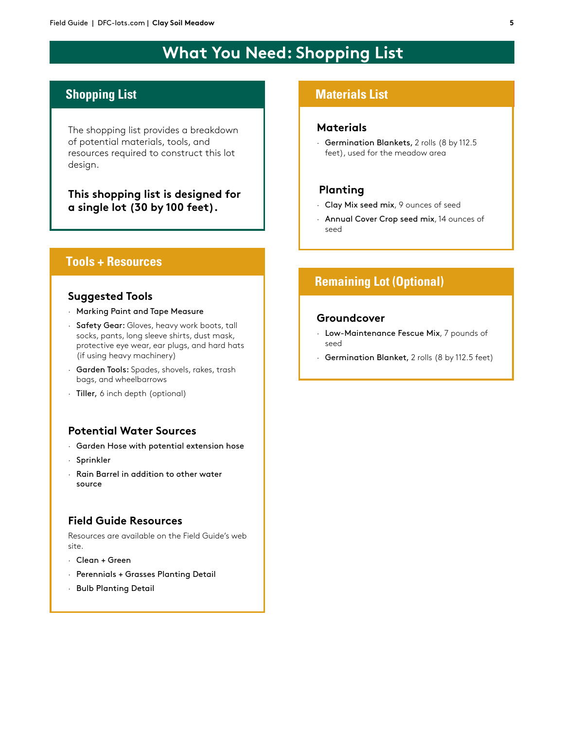# **What You Need: Shopping List**

# **Shopping List**

The shopping list provides a breakdown of potential materials, tools, and resources required to construct this lot design.

**This shopping list is designed for a single lot (30 by 100 feet).**

#### **Tools + Resources**

#### **Suggested Tools**

- · Marking Paint and Tape Measure
- · Safety Gear: Gloves, heavy work boots, tall socks, pants, long sleeve shirts, dust mask, protective eye wear, ear plugs, and hard hats (if using heavy machinery)
- · Garden Tools: Spades, shovels, rakes, trash bags, and wheelbarrows
- · Tiller, 6 inch depth (optional)

#### **Potential Water Sources**

- · Garden Hose with potential extension hose
- · Sprinkler
- · Rain Barrel in addition to other water source

#### **Field Guide Resources**

Resources are available on the Field Guide's web site.

- · Clean + Green
- · Perennials + Grasses Planting Detail
- · Bulb Planting Detail

#### **Materials List**

#### **Materials**

· Germination Blankets, 2 rolls (8 by 112.5 feet), used for the meadow area

#### **Planting**

- · Clay Mix seed mix, 9 ounces of seed
- · Annual Cover Crop seed mix, 14 ounces of seed

# **Remaining Lot (Optional)**

#### **Groundcover**

- · Low-Maintenance Fescue Mix, 7 pounds of seed
- · Germination Blanket, 2 rolls (8 by 112.5 feet)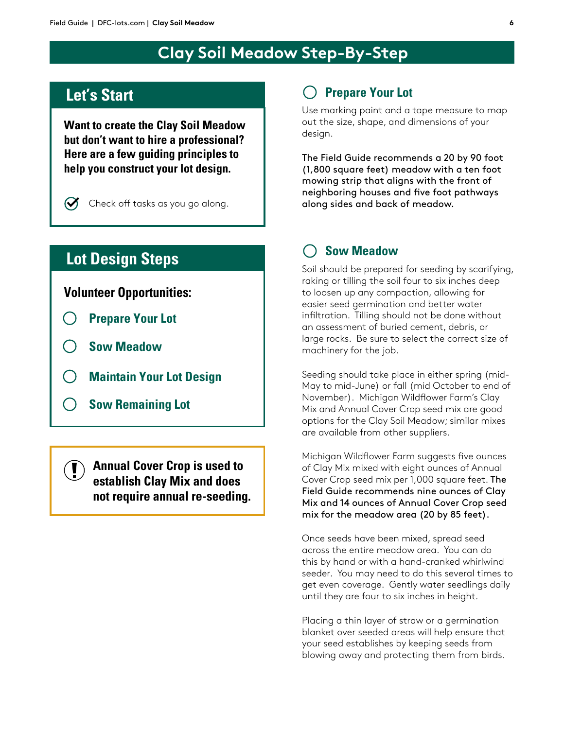# **Clay Soil Meadow Step-By-Step**

# **Let's Start**

**Want to create the Clay Soil Meadow but don't want to hire a professional? Here are a few guiding principles to help you construct your lot design.**



Check off tasks as you go along.

# **Lot Design Steps**

### **Volunteer Opportunities:**

- **Prepare Your Lot**
- **Sow Meadow**
- **Maintain Your Lot Design**
- **Sow Remaining Lot**

**Annual Cover Crop is used to establish Clay Mix and does not require annual re-seeding.**

### **Prepare Your Lot**

Use marking paint and a tape measure to map out the size, shape, and dimensions of your design.

The Field Guide recommends a 20 by 90 foot (1,800 square feet) meadow with a ten foot mowing strip that aligns with the front of neighboring houses and five foot pathways along sides and back of meadow.

### **Sow Meadow**

Soil should be prepared for seeding by scarifying, raking or tilling the soil four to six inches deep to loosen up any compaction, allowing for easier seed germination and better water infltration. Tilling should not be done without an assessment of buried cement, debris, or large rocks. Be sure to select the correct size of machinery for the job.

Seeding should take place in either spring (mid-May to mid-June) or fall (mid October to end of November). Michigan Wildfower Farm's Clay Mix and Annual Cover Crop seed mix are good options for the Clay Soil Meadow; similar mixes are available from other suppliers.

Michigan Wildfower Farm suggests fve ounces of Clay Mix mixed with eight ounces of Annual Cover Crop seed mix per 1,000 square feet. The Field Guide recommends nine ounces of Clay Mix and 14 ounces of Annual Cover Crop seed mix for the meadow area (20 by 85 feet).

Once seeds have been mixed, spread seed across the entire meadow area. You can do this by hand or with a hand-cranked whirlwind seeder. You may need to do this several times to get even coverage. Gently water seedlings daily until they are four to six inches in height.

Placing a thin layer of straw or a germination blanket over seeded areas will help ensure that your seed establishes by keeping seeds from blowing away and protecting them from birds.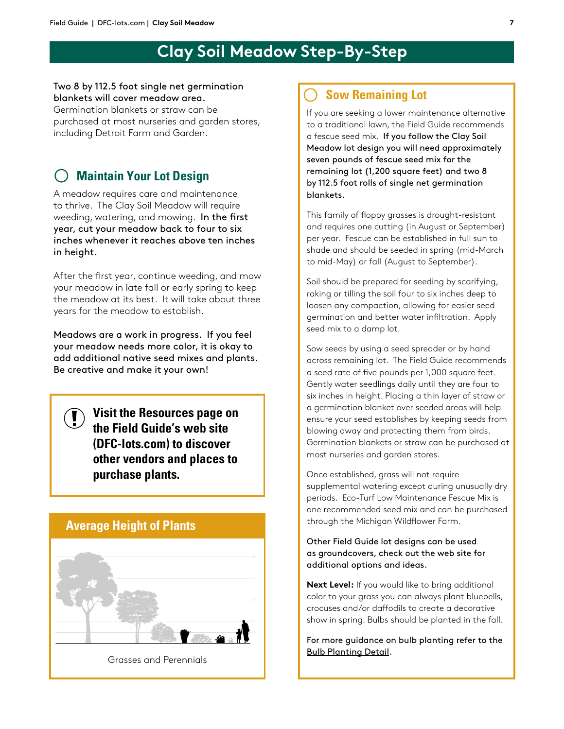# **Clay Soil Meadow Step-By-Step**

#### Two 8 by 112.5 foot single net germination blankets will cover meadow area.

Germination blankets or straw can be purchased at most nurseries and garden stores, including Detroit Farm and Garden.

# **Maintain Your Lot Design**

A meadow requires care and maintenance to thrive. The Clay Soil Meadow will require weeding, watering, and mowing. In the first year, cut your meadow back to four to six inches whenever it reaches above ten inches in height.

After the first year, continue weeding, and mow your meadow in late fall or early spring to keep the meadow at its best. It will take about three years for the meadow to establish.

Meadows are a work in progress. If you feel your meadow needs more color, it is okay to add additional native seed mixes and plants. Be creative and make it your own!

**Visit the Resources page on the Field Guide's web site (DFC-lots.com) to discover other vendors and places to purchase plants.**

### **Average Height of Plants**



Grasses and Perennials

## **Sow Remaining Lot**

If you are seeking a lower maintenance alternative to a traditional lawn, the Field Guide recommends a fescue seed mix. If you follow the Clay Soil Meadow lot design you will need approximately seven pounds of fescue seed mix for the remaining lot (1,200 square feet) and two 8 by 112.5 foot rolls of single net germination blankets.

This family of foppy grasses is drought-resistant and requires one cutting (in August or September) per year. Fescue can be established in full sun to shade and should be seeded in spring (mid-March to mid-May) or fall (August to September).

Soil should be prepared for seeding by scarifying, raking or tilling the soil four to six inches deep to loosen any compaction, allowing for easier seed germination and better water infltration. Apply seed mix to a damp lot.

Sow seeds by using a seed spreader or by hand across remaining lot. The Field Guide recommends a seed rate of fve pounds per 1,000 square feet. Gently water seedlings daily until they are four to six inches in height. Placing a thin layer of straw or a germination blanket over seeded areas will help ensure your seed establishes by keeping seeds from blowing away and protecting them from birds. Germination blankets or straw can be purchased at most nurseries and garden stores.

Once established, grass will not require supplemental watering except during unusually dry periods. Eco-Turf Low Maintenance Fescue Mix is one recommended seed mix and can be purchased through the Michigan Wildfower Farm.

Other Field Guide lot designs can be used as groundcovers, check out the web site for additional options and ideas.

**Next Level:** If you would like to bring additional color to your grass you can always plant bluebells, crocuses and/or dafodils to create a decorative show in spring. Bulbs should be planted in the fall.

For more guidance on bulb planting refer to the Bulb Planting Detail.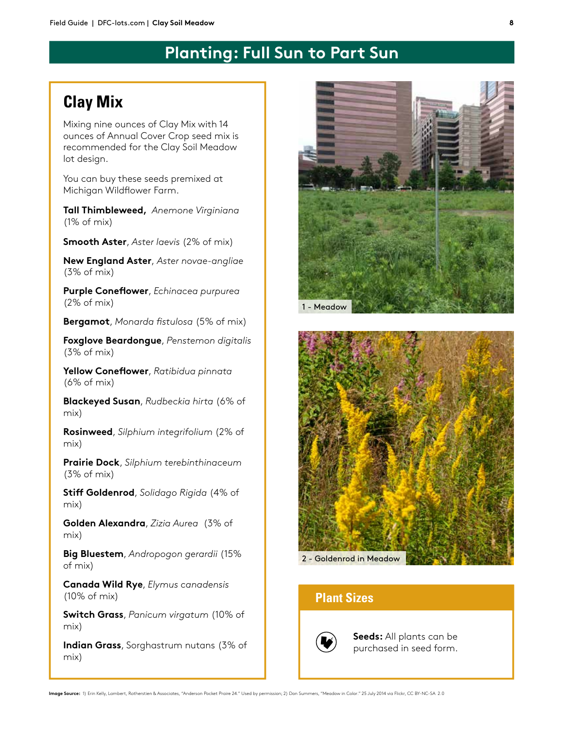# **Planting: Full Sun to Part Sun**

# **Clay Mix**

Mixing nine ounces of Clay Mix with 14 ounces of Annual Cover Crop seed mix is recommended for the Clay Soil Meadow lot design.

You can buy these seeds premixed at Michigan Wildfower Farm.

**Tall Thimbleweed,** *Anemone Virginiana*  (1% of mix)

**Smooth Aster**, *Aster laevis* (2% of mix)

**New England Aster**, *Aster novae-angliae*  (3% of mix)

**Purple Conefower**, *Echinacea purpurea* (2% of mix)

**Bergamot**, *Monarda fstulosa* (5% of mix)

**Foxglove Beardongue**, *Penstemon digitalis*  (3% of mix)

**Yellow Conefower**, *Ratibidua pinnata*  (6% of mix)

**Blackeyed Susan**, *Rudbeckia hirta* (6% of mix)

**Rosinweed**, *Silphium integrifolium* (2% of mix)

**Prairie Dock**, *Silphium terebinthinaceum* (3% of mix)

**Stif Goldenrod**, *Solidago Rigida* (4% of mix)

**Golden Alexandra**, *Zizia Aurea* (3% of mix)

**Big Bluestem**, *Andropogon gerardii* (15% of mix)

**Canada Wild Rye**, *Elymus canadensis* (10% of mix)

**Switch Grass**, *Panicum virgatum* (10% of mix)

**Indian Grass**, Sorghastrum nutans (3% of mix)





### **Plant Sizes**



**Seeds:** All plants can be purchased in seed form.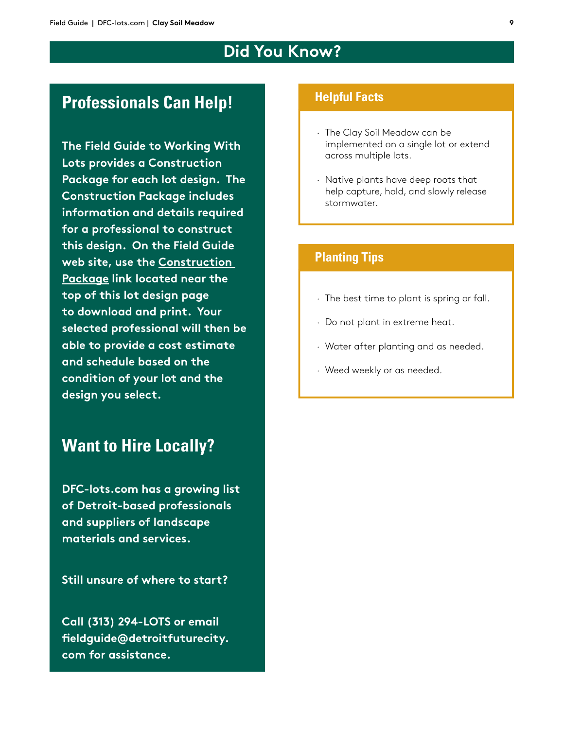# **Did You Know?**

# **Professionals Can Help!**

**The Field Guide to Working With Lots provides a Construction Package for each lot design. The Construction Package includes information and details required for a professional to construct this design. On the Field Guide web site, use the Construction Package link located near the top of this lot design page to download and print. Your selected professional will then be able to provide a cost estimate and schedule based on the condition of your lot and the design you select.**

# **Want to Hire Locally?**

**DFC-lots.com has a growing list of Detroit-based professionals and suppliers of landscape materials and services.**

**Still unsure of where to start?** 

**Call (313) 294-LOTS or email feldguide@detroitfuturecity. com for assistance.**

#### **Helpful Facts**

- · The Clay Soil Meadow can be implemented on a single lot or extend across multiple lots.
- · Native plants have deep roots that help capture, hold, and slowly release stormwater.

### **Planting Tips**

- · The best time to plant is spring or fall.
- · Do not plant in extreme heat.
- · Water after planting and as needed.
- · Weed weekly or as needed.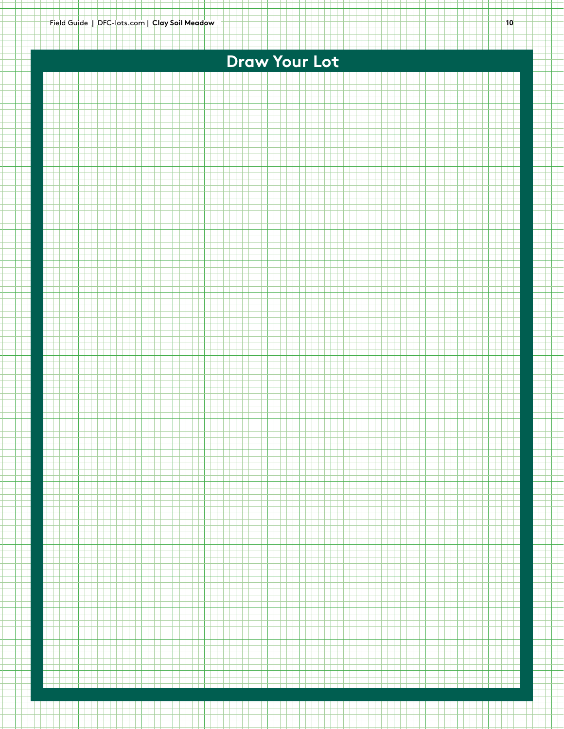<u> Elektronick (za populacija program</u>

# **Draw Your Lot**

<u>na main a na ain</u>

a a shekar

a sa san san san s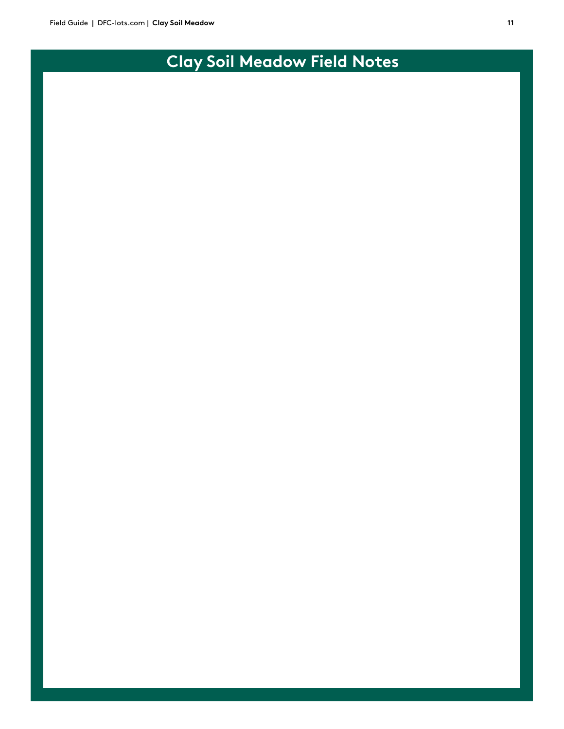# **Clay Soil Meadow Field Notes**